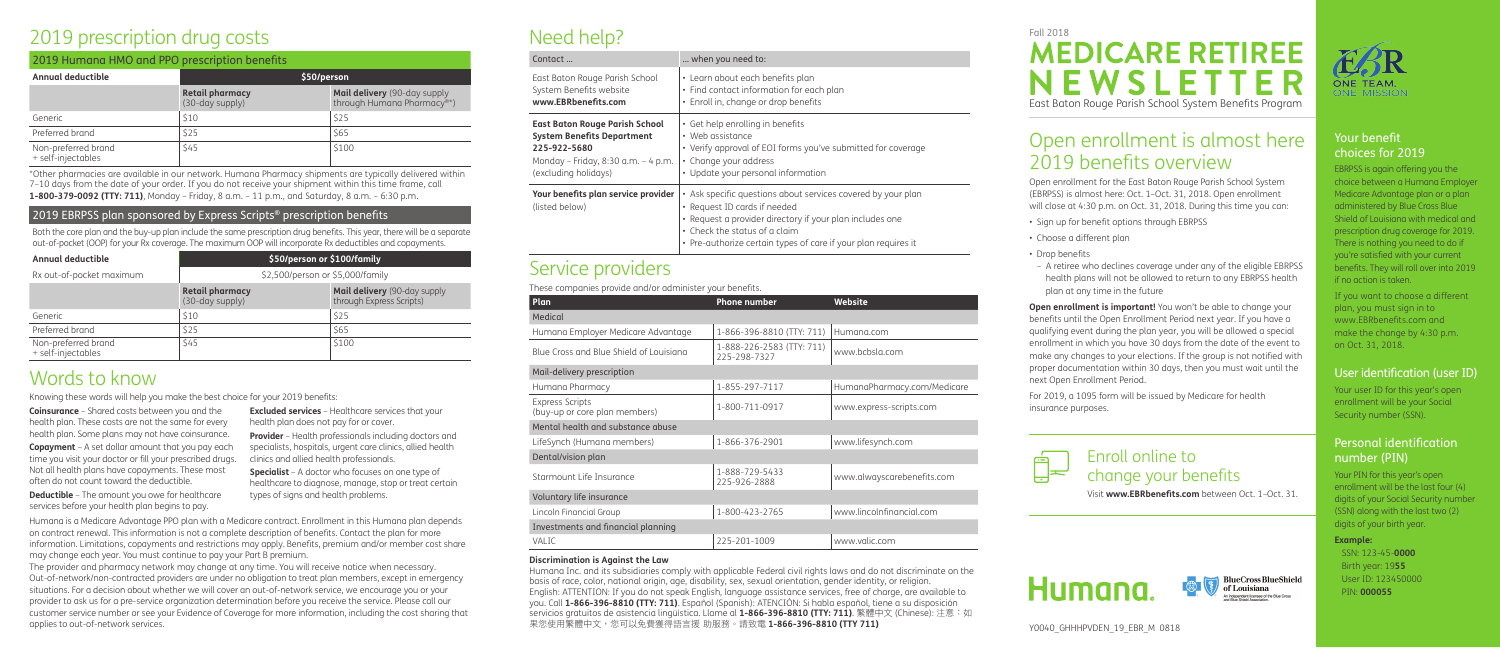### Your benefit choices for 2019

EBRPSS is again offering you the choice between a Humana Employer Medicare Advantage plan or a plan administered by Blue Cross Blue Shield of Louisiana with medical and prescription drug coverage for 2019. There is nothing you need to do if you're satisfied with your current benefits. They will roll over into 2019 if no action is taken.

If you want to choose a different plan, you must sign in to www.EBRbenefits.com and make the change by 4:30 p.m. on Oct. 31, 2018.

### User identification (user ID)

Your user ID for this year's open enrollment will be your Social Security number (SSN).

### Personal identification number (PIN)

Your PIN for this year's open enrollment will be the last four (4) digits of your Social Security number (SSN) along with the last two (2) digits of your birth year.

### **Example:**

SSN: 123-45-**0000** Birth year: 19**55** User ID: 123450000 PIN: **000055**



**Open enrollment is important!** You won't be able to change your benefits until the Open Enrollment Period next year. If you have a qualifying event during the plan year, you will be allowed a special enrollment in which you have 30 days from the date of the event to make any changes to your elections. If the group is not notified with proper documentation within 30 days, then you must wait until the next Open Enrollment Period.

# Open enrollment is almost here 2019 benefits overview

Open enrollment for the East Baton Rouge Parish School System (EBRPSS) is almost here: Oct. 1–Oct. 31, 2018. Open enrollment will close at 4:30 p.m. on Oct. 31, 2018. During this time you can:

- Sign up for benefit options through EBRPSS
- Choose a different plan
- Drop benefits
- A retiree who declines coverage under any of the eligible EBRPSS health plans will not be allowed to return to any EBRPSS health plan at any time in the future

For 2019, a 1095 form will be issued by Medicare for health insurance purposes.





# Need help?

| East Baton Rouge Parish School                        | • Learn about                                                                      |
|-------------------------------------------------------|------------------------------------------------------------------------------------|
| System Benefits website                               | • Find contac                                                                      |
| www.EBRbenefits.com                                   | • Enroll in, ch                                                                    |
| <b>East Baton Rouge Parish School</b>                 | • Get help en                                                                      |
| <b>System Benefits Department</b>                     | • Web assista                                                                      |
| 225-922-5680                                          | • Verify appro                                                                     |
| Monday – Friday, 8:30 a.m. – 4 p.m.                   | • Change you                                                                       |
| (excluding holidays)                                  | · Update you                                                                       |
| Your benefits plan service provider<br>(listed below) | • Ask specific<br>• Request ID<br>· Request a p<br>• Check the s<br>• Pre-authori: |

# Service providers

These companies provide and/or administer your benefits.

**Provider** – Health professionals including doctors and specialists, hospitals, urgent care clinics, allied health clinics and allied health professionals.

| Plan                                                    | <b>Phone number</b>                       | <b>Website</b>              |
|---------------------------------------------------------|-------------------------------------------|-----------------------------|
| Medical                                                 |                                           |                             |
| Humana Employer Medicare Advantage                      | 1-866-396-8810 (TTY: 711)                 | Humana.com                  |
| Blue Cross and Blue Shield of Louisiana                 | 1-888-226-2583 (TTY: 711)<br>225-298-7327 | www.bcbsla.com              |
| Mail-delivery prescription                              |                                           |                             |
| Humana Pharmacy                                         | 1-855-297-7117                            | HumanaPharmacy.com/Medicare |
| <b>Express Scripts</b><br>(buy-up or core plan members) | 1-800-711-0917                            | www.express-scripts.com     |
| Mental health and substance abuse                       |                                           |                             |
| LifeSynch (Humana members)                              | 1-866-376-2901                            | www.lifesynch.com           |
| Dental/vision plan                                      |                                           |                             |
| Starmount Life Insurance                                | 1-888-729-5433<br>225-926-2888            | www.alwayscarebenefits.com  |
| Voluntary life insurance                                |                                           |                             |
| Lincoln Financial Group                                 | 1-800-423-2765                            | www.lincolnfinancial.com    |
| Investments and financial planning                      |                                           |                             |
| VALIC                                                   | 225-201-1009                              | www.valic.com               |

#### **Discrimination is Against the Law**

Humana Inc. and its subsidiaries comply with applicable Federal civil rights laws and do not discriminate on the basis of race, color, national origin, age, disability, sex, sexual orientation, gender identity, or religion. English: ATTENTION: If you do not speak English, language assistance services, free of charge, are available to you. Call **1-866-396-8810 (TTY: 711)**. Español (Spanish): ATENCIÓN: Si habla español, tiene a su disposición servicios gratuitos de asistencia lingüística. Llame al 1-866-396-8810 (TTY: 711). 繁體中文 (Chinese): 注意: 如 果您使用繁體中文,您可以免費獲得語言援 助服務。請致電 **1-866-396-8810 (TTY 711)**

#### need to:

- it each benefits plan t information for each plan
- ange or drop benefits
- **rolling in benefits**
- ance
- oval of EOI forms you've submitted for coverage
- ur address
- ur personal information
- : questions about services covered by your plan
- cards if needed
- provider directory if your plan includes one
- Check the status of a claim
- ize certain types of care if your plan requires it

# 2019 prescription drug costs

| 2019 Humana HMO and PPO prescription benefits |                                           |                                                                         |  |
|-----------------------------------------------|-------------------------------------------|-------------------------------------------------------------------------|--|
| <b>Annual deductible</b>                      | \$50/person                               |                                                                         |  |
|                                               | <b>Retail pharmacy</b><br>(30-day supply) | Mail delivery (90-day supply<br>through Humana Pharmacy <sup>®*</sup> ) |  |
| Generic                                       | \$10                                      | \$25                                                                    |  |
| Preferred brand                               | \$25                                      | \$65                                                                    |  |
| Non-preferred brand<br>+ self-injectables     | \$45                                      | \$100                                                                   |  |

\*Other pharmacies are available in our network. Humana Pharmacy shipments are typically delivered within 7–10 days from the date of your order. If you do not receive your shipment within this time frame, call **1-800-379-0092 (TTY: 711)**, Monday – Friday, 8 a.m. – 11 p.m., and Saturday, 8 a.m. – 6:30 p.m.

### 2019 EBRPSS plan sponsored by Express Scripts<sup>®</sup> prescription benefits

Both the core plan and the buy-up plan include the same prescription drug benefits. This year, there will be a separate out-of-pocket (OOP) for your Rx coverage. The maximum OOP will incorporate Rx deductibles and copayments.

| <b>Annual deductible</b>                  | \$50/person or \$100/family               |                                                          |  |
|-------------------------------------------|-------------------------------------------|----------------------------------------------------------|--|
| Rx out-of-pocket maximum                  | \$2,500/person or \$5,000/family          |                                                          |  |
|                                           | <b>Retail pharmacy</b><br>(30-day supply) | Mail delivery (90-day supply<br>through Express Scripts) |  |
| Generic                                   | \$10                                      | \$25                                                     |  |
| Preferred brand                           | \$25                                      | \$65                                                     |  |
| Non-preferred brand<br>+ self-injectables | \$45                                      | \$100                                                    |  |

# Words to know

Knowing these words will help you make the best choice for your 2019 benefits:

**Coinsurance** – Shared costs between you and the health plan. These costs are not the same for every health plan. Some plans may not have coinsurance.

**Copayment** – A set dollar amount that you pay each time you visit your doctor or fill your prescribed drugs. Not all health plans have copayments. These most often do not count toward the deductible.

**Deductible** – The amount you owe for healthcare services before your health plan begins to pay.

**Excluded services** – Healthcare services that your health plan does not pay for or cover.

**Specialist** – A doctor who focuses on one type of healthcare to diagnose, manage, stop or treat certain types of signs and health problems.

Humana is a Medicare Advantage PPO plan with a Medicare contract. Enrollment in this Humana plan depends on contract renewal. This information is not a complete description of benefits. Contact the plan for more information. Limitations, copayments and restrictions may apply. Benefits, premium and/or member cost share may change each year. You must continue to pay your Part B premium.

The provider and pharmacy network may change at any time. You will receive notice when necessary. Out-of-network/non-contracted providers are under no obligation to treat plan members, except in emergency situations. For a decision about whether we will cover an out-of-network service, we encourage you or your provider to ask us for a pre-service organization determination before you receive the service. Please call our customer service number or see your Evidence of Coverage for more information, including the cost sharing that applies to out-of-network services.

## Fall 2018 **MEDICARE RETIREE** NEWSLET East Baton Rouge Parish School System Benefits Program

### Enroll online to change your benefits

Visit **www.EBRbenefits.com** between Oct. 1–Oct. 31.

**BlueCross BlueShield** 

independent licensee of the Blue Cross

of Louisiana